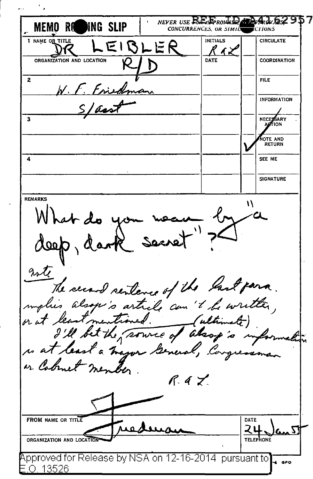NEVER USE ENERGIANO ATA MEMO ROLL **WNG SLIP CONCURRENCES** OR SIMILS **ECTIONS 1 NAME OR TITLE INITIALS CIRCULATE**  $E$  $RE$  $E$  $R$ くょう ORGANIZATION AND LOCATION DATE COORDINATION  $\overline{\mathbf{z}}$ FILE W. F. Friskman **INFORMATION** Slasst ় **NECERSARY OTE AND RETURN** Ā SEE ME **SIGNATURE REMARKS** deep, dank secret"?  $\mathcal{U}$ note The second sentence of the last para. implies alsope's article can't be written, or Cabinet member  $R.47$ **FROM NAME OR TITLE** DATE متعلامه スリ  $\mathfrak{c}_{\mathbf{m}}$   $\nabla$ ORGANIZATION AND LOCAL Approved for Release by NSA on 12-16-2014 pursuant to √ gpo .O. 13526